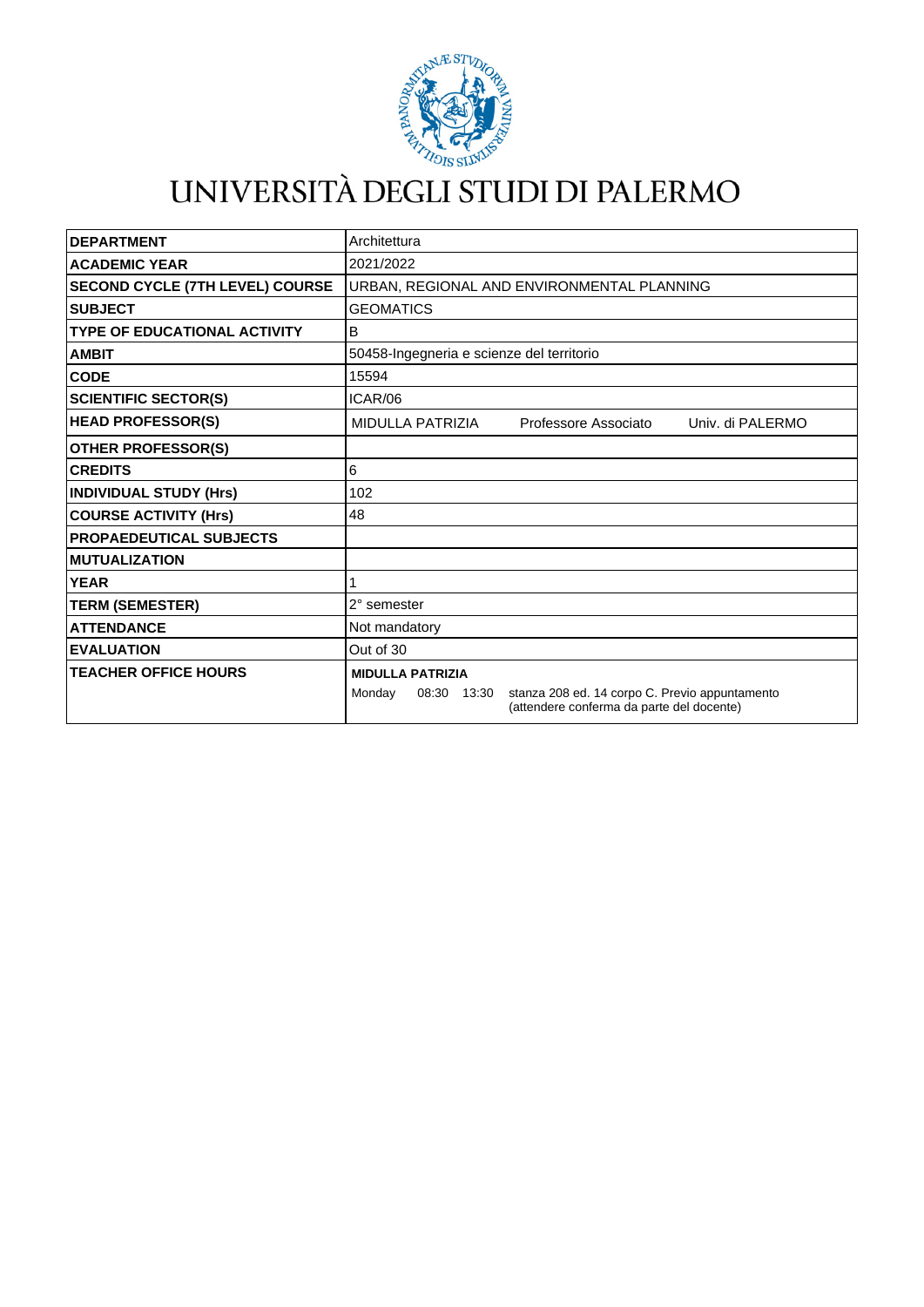

## UNIVERSITÀ DEGLI STUDI DI PALERMO

| <b>DEPARTMENT</b>                      | Architettura                                                                                                         |
|----------------------------------------|----------------------------------------------------------------------------------------------------------------------|
| <b>ACADEMIC YEAR</b>                   | 2021/2022                                                                                                            |
| <b>SECOND CYCLE (7TH LEVEL) COURSE</b> | URBAN, REGIONAL AND ENVIRONMENTAL PLANNING                                                                           |
| <b>SUBJECT</b>                         | <b>GEOMATICS</b>                                                                                                     |
| <b>TYPE OF EDUCATIONAL ACTIVITY</b>    | В                                                                                                                    |
| <b>AMBIT</b>                           | 50458-Ingegneria e scienze del territorio                                                                            |
| <b>CODE</b>                            | 15594                                                                                                                |
| <b>SCIENTIFIC SECTOR(S)</b>            | ICAR/06                                                                                                              |
| <b>HEAD PROFESSOR(S)</b>               | <b>MIDULLA PATRIZIA</b><br>Professore Associato<br>Univ. di PALERMO                                                  |
| <b>OTHER PROFESSOR(S)</b>              |                                                                                                                      |
| <b>CREDITS</b>                         | 6                                                                                                                    |
| <b>INDIVIDUAL STUDY (Hrs)</b>          | 102                                                                                                                  |
| <b>COURSE ACTIVITY (Hrs)</b>           | 48                                                                                                                   |
| <b>PROPAEDEUTICAL SUBJECTS</b>         |                                                                                                                      |
| <b>MUTUALIZATION</b>                   |                                                                                                                      |
| <b>YEAR</b>                            |                                                                                                                      |
| <b>TERM (SEMESTER)</b>                 | 2° semester                                                                                                          |
| <b>ATTENDANCE</b>                      | Not mandatory                                                                                                        |
| <b>EVALUATION</b>                      | Out of 30                                                                                                            |
| <b>TEACHER OFFICE HOURS</b>            | <b>MIDULLA PATRIZIA</b>                                                                                              |
|                                        | stanza 208 ed. 14 corpo C. Previo appuntamento<br>Monday<br>08:30 13:30<br>(attendere conferma da parte del docente) |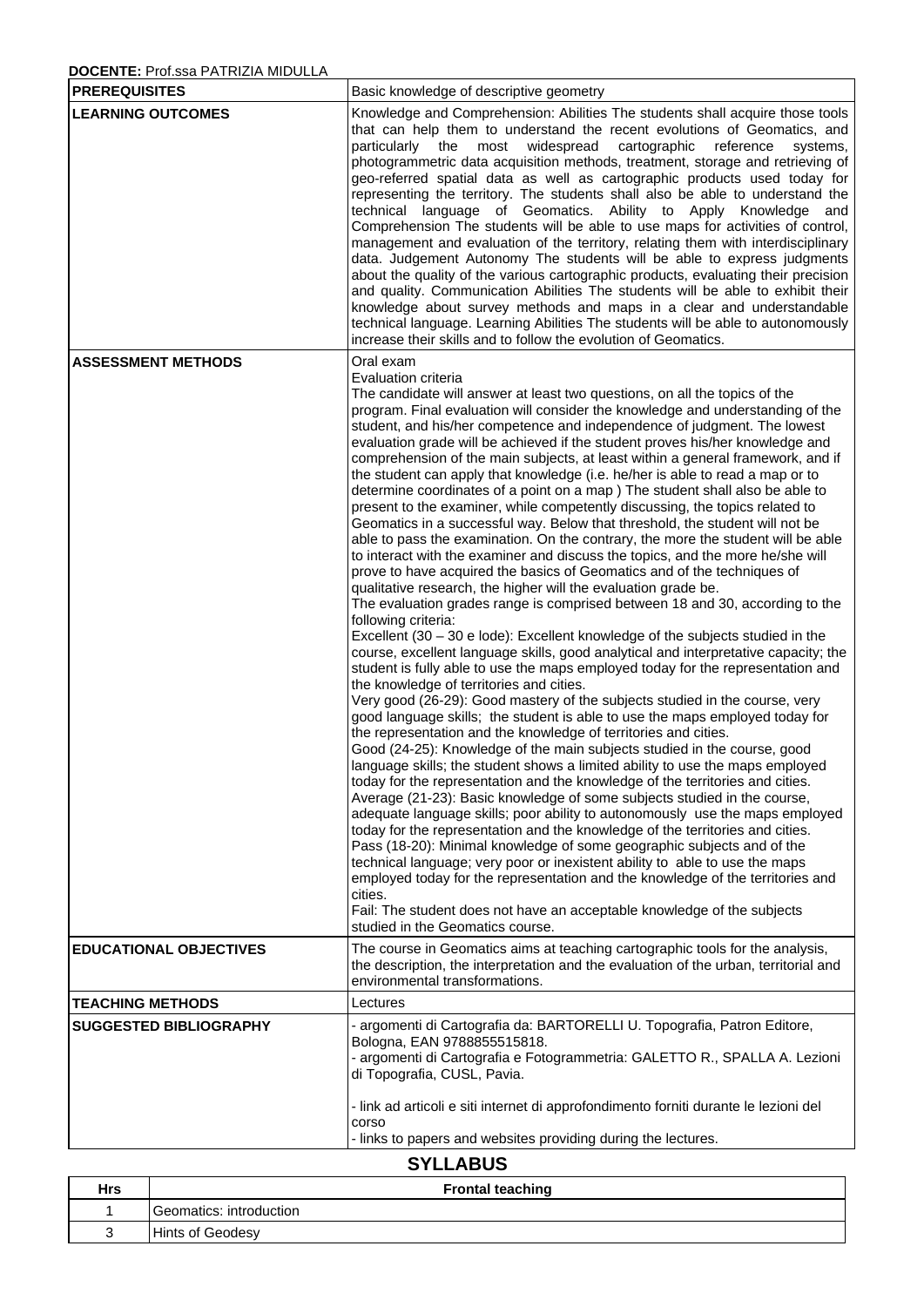## **DOCENTE:** Prof.ssa PATRIZIA MIDULLA

| <b>PREREQUISITES</b>          | Basic knowledge of descriptive geometry                                                                                                                                                                                                                                                                                                                                                                                                                                                                                                                                                                                                                                                                                                                                                                                                                                                                                                                                                                                                                                                                                                                                                                                                                                                                                                                                                                                                                                                                                                                                                                                                                                                                                                                                                                                                                                                                                                                                                                                                                                                                                                                                                                                                                                                                                                                                                                                                                                                                                                                                            |  |  |
|-------------------------------|------------------------------------------------------------------------------------------------------------------------------------------------------------------------------------------------------------------------------------------------------------------------------------------------------------------------------------------------------------------------------------------------------------------------------------------------------------------------------------------------------------------------------------------------------------------------------------------------------------------------------------------------------------------------------------------------------------------------------------------------------------------------------------------------------------------------------------------------------------------------------------------------------------------------------------------------------------------------------------------------------------------------------------------------------------------------------------------------------------------------------------------------------------------------------------------------------------------------------------------------------------------------------------------------------------------------------------------------------------------------------------------------------------------------------------------------------------------------------------------------------------------------------------------------------------------------------------------------------------------------------------------------------------------------------------------------------------------------------------------------------------------------------------------------------------------------------------------------------------------------------------------------------------------------------------------------------------------------------------------------------------------------------------------------------------------------------------------------------------------------------------------------------------------------------------------------------------------------------------------------------------------------------------------------------------------------------------------------------------------------------------------------------------------------------------------------------------------------------------------------------------------------------------------------------------------------------------|--|--|
| <b>LEARNING OUTCOMES</b>      | Knowledge and Comprehension: Abilities The students shall acquire those tools<br>that can help them to understand the recent evolutions of Geomatics, and<br>particularly the most widespread<br>cartographic<br>reference<br>systems,<br>photogrammetric data acquisition methods, treatment, storage and retrieving of<br>geo-referred spatial data as well as cartographic products used today for<br>representing the territory. The students shall also be able to understand the<br>technical language of Geomatics. Ability to Apply Knowledge and<br>Comprehension The students will be able to use maps for activities of control,<br>management and evaluation of the territory, relating them with interdisciplinary<br>data. Judgement Autonomy The students will be able to express judgments<br>about the quality of the various cartographic products, evaluating their precision<br>and quality. Communication Abilities The students will be able to exhibit their<br>knowledge about survey methods and maps in a clear and understandable<br>technical language. Learning Abilities The students will be able to autonomously<br>increase their skills and to follow the evolution of Geomatics.                                                                                                                                                                                                                                                                                                                                                                                                                                                                                                                                                                                                                                                                                                                                                                                                                                                                                                                                                                                                                                                                                                                                                                                                                                                                                                                                                                |  |  |
| <b>ASSESSMENT METHODS</b>     | Oral exam<br>Evaluation criteria<br>The candidate will answer at least two questions, on all the topics of the<br>program. Final evaluation will consider the knowledge and understanding of the<br>student, and his/her competence and independence of judgment. The lowest<br>evaluation grade will be achieved if the student proves his/her knowledge and<br>comprehension of the main subjects, at least within a general framework, and if<br>the student can apply that knowledge (i.e. he/her is able to read a map or to<br>determine coordinates of a point on a map ) The student shall also be able to<br>present to the examiner, while competently discussing, the topics related to<br>Geomatics in a successful way. Below that threshold, the student will not be<br>able to pass the examination. On the contrary, the more the student will be able<br>to interact with the examiner and discuss the topics, and the more he/she will<br>prove to have acquired the basics of Geomatics and of the techniques of<br>qualitative research, the higher will the evaluation grade be.<br>The evaluation grades range is comprised between 18 and 30, according to the<br>following criteria:<br>Excellent (30 - 30 e lode): Excellent knowledge of the subjects studied in the<br>course, excellent language skills, good analytical and interpretative capacity; the<br>student is fully able to use the maps employed today for the representation and<br>the knowledge of territories and cities.<br>Very good (26-29): Good mastery of the subjects studied in the course, very<br>good language skills; the student is able to use the maps employed today for<br>the representation and the knowledge of territories and cities.<br>Good (24-25): Knowledge of the main subjects studied in the course, good<br>language skills; the student shows a limited ability to use the maps employed<br>today for the representation and the knowledge of the territories and cities.<br>Average (21-23): Basic knowledge of some subjects studied in the course,<br>adequate language skills; poor ability to autonomously use the maps employed<br>today for the representation and the knowledge of the territories and cities.<br>Pass (18-20): Minimal knowledge of some geographic subjects and of the<br>technical language; very poor or inexistent ability to able to use the maps<br>employed today for the representation and the knowledge of the territories and<br>cities.<br>Fail: The student does not have an acceptable knowledge of the subjects |  |  |
| <b>EDUCATIONAL OBJECTIVES</b> | studied in the Geomatics course.<br>The course in Geomatics aims at teaching cartographic tools for the analysis,<br>the description, the interpretation and the evaluation of the urban, territorial and<br>environmental transformations.                                                                                                                                                                                                                                                                                                                                                                                                                                                                                                                                                                                                                                                                                                                                                                                                                                                                                                                                                                                                                                                                                                                                                                                                                                                                                                                                                                                                                                                                                                                                                                                                                                                                                                                                                                                                                                                                                                                                                                                                                                                                                                                                                                                                                                                                                                                                        |  |  |
| <b>TEACHING METHODS</b>       | Lectures                                                                                                                                                                                                                                                                                                                                                                                                                                                                                                                                                                                                                                                                                                                                                                                                                                                                                                                                                                                                                                                                                                                                                                                                                                                                                                                                                                                                                                                                                                                                                                                                                                                                                                                                                                                                                                                                                                                                                                                                                                                                                                                                                                                                                                                                                                                                                                                                                                                                                                                                                                           |  |  |
| <b>SUGGESTED BIBLIOGRAPHY</b> | - argomenti di Cartografia da: BARTORELLI U. Topografia, Patron Editore,<br>Bologna, EAN 9788855515818.<br>- argomenti di Cartografia e Fotogrammetria: GALETTO R., SPALLA A. Lezioni<br>di Topografia, CUSL, Pavia.                                                                                                                                                                                                                                                                                                                                                                                                                                                                                                                                                                                                                                                                                                                                                                                                                                                                                                                                                                                                                                                                                                                                                                                                                                                                                                                                                                                                                                                                                                                                                                                                                                                                                                                                                                                                                                                                                                                                                                                                                                                                                                                                                                                                                                                                                                                                                               |  |  |
|                               | - link ad articoli e siti internet di approfondimento forniti durante le lezioni del<br>corso<br>- links to papers and websites providing during the lectures.                                                                                                                                                                                                                                                                                                                                                                                                                                                                                                                                                                                                                                                                                                                                                                                                                                                                                                                                                                                                                                                                                                                                                                                                                                                                                                                                                                                                                                                                                                                                                                                                                                                                                                                                                                                                                                                                                                                                                                                                                                                                                                                                                                                                                                                                                                                                                                                                                     |  |  |
|                               | <b>SYLLABUS</b>                                                                                                                                                                                                                                                                                                                                                                                                                                                                                                                                                                                                                                                                                                                                                                                                                                                                                                                                                                                                                                                                                                                                                                                                                                                                                                                                                                                                                                                                                                                                                                                                                                                                                                                                                                                                                                                                                                                                                                                                                                                                                                                                                                                                                                                                                                                                                                                                                                                                                                                                                                    |  |  |

| _ _ _ _ _ _ _ _ _ |                         |  |
|-------------------|-------------------------|--|
| <b>Hrs</b>        | <b>Frontal teaching</b> |  |
|                   | Geomatics: introduction |  |
|                   | <b>Hints of Geodesy</b> |  |
|                   |                         |  |